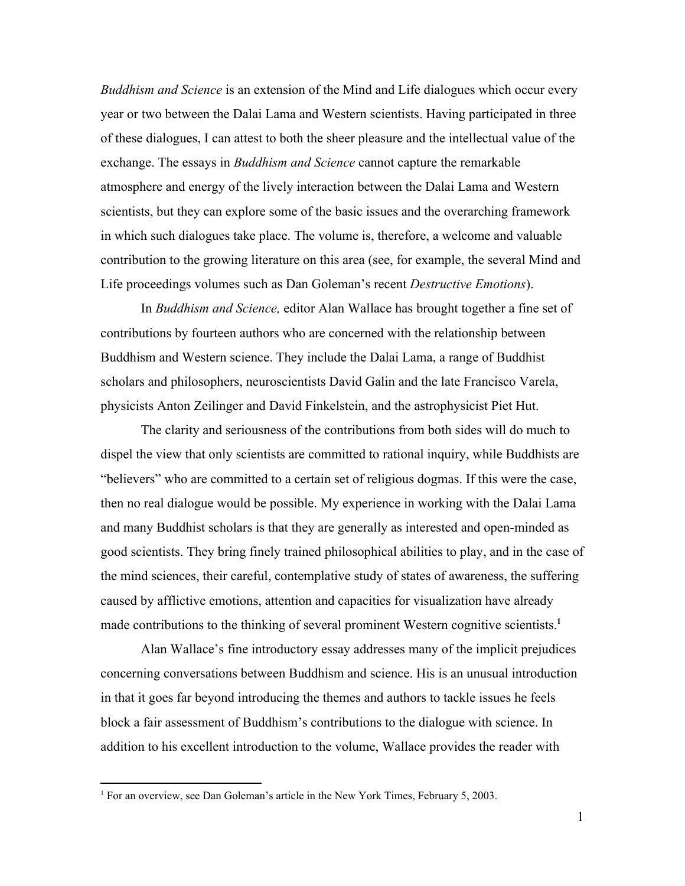*Buddhism and Science* is an extension of the Mind and Life dialogues which occur every year or two between the Dalai Lama and Western scientists. Having participated in three of these dialogues, I can attest to both the sheer pleasure and the intellectual value of the exchange. The essays in *Buddhism and Science* cannot capture the remarkable atmosphere and energy of the lively interaction between the Dalai Lama and Western scientists, but they can explore some of the basic issues and the overarching framework in which such dialogues take place. The volume is, therefore, a welcome and valuable contribution to the growing literature on this area (see, for example, the several Mind and Life proceedings volumes such as Dan Goleman's recent *Destructive Emotions*).

In *Buddhism and Science,* editor Alan Wallace has brought together a fine set of contributions by fourteen authors who are concerned with the relationship between Buddhism and Western science. They include the Dalai Lama, a range of Buddhist scholars and philosophers, neuroscientists David Galin and the late Francisco Varela, physicists Anton Zeilinger and David Finkelstein, and the astrophysicist Piet Hut.

The clarity and seriousness of the contributions from both sides will do much to dispel the view that only scientists are committed to rational inquiry, while Buddhists are "believers" who are committed to a certain set of religious dogmas. If this were the case, then no real dialogue would be possible. My experience in working with the Dalai Lama and many Buddhist scholars is that they are generally as interested and open-minded as good scientists. They bring finely trained philosophical abilities to play, and in the case of the mind sciences, their careful, contemplative study of states of awareness, the suffering caused by afflictive emotions, attention and capacities for visualization have already made contributions to the thinking of several prominent Western cognitive scientists.<sup>1</sup>

Alan Wallace's fine introductory essay addresses many of the implicit prejudices concerning conversations between Buddhism and science. His is an unusual introduction in that it goes far beyond introducing the themes and authors to tackle issues he feels block a fair assessment of Buddhism's contributions to the dialogue with science. In addition to his excellent introduction to the volume, Wallace provides the reader with

<sup>&</sup>lt;sup>1</sup> For an overview, see Dan Goleman's article in the New York Times, February 5, 2003.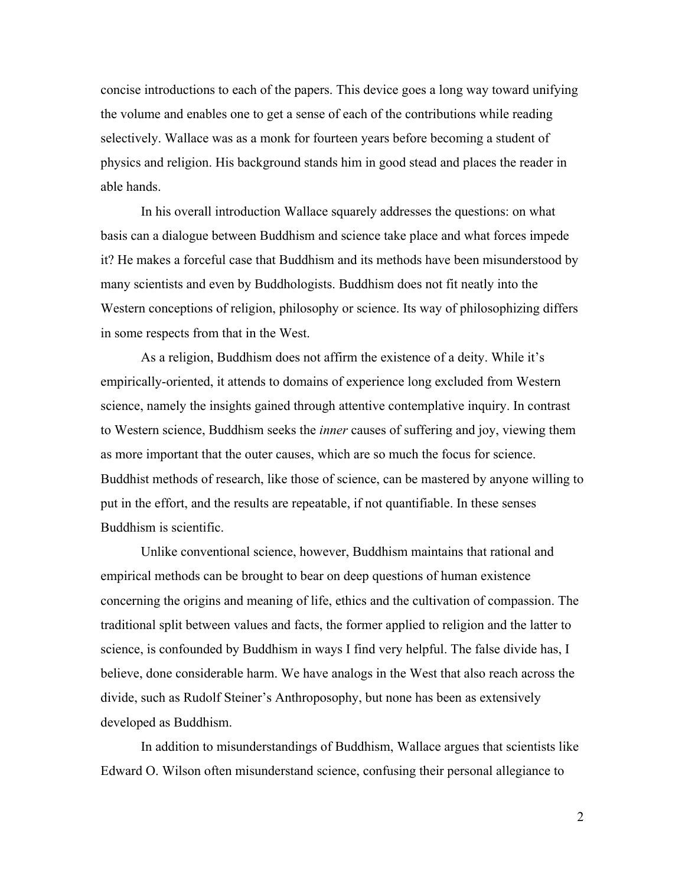concise introductions to each of the papers. This device goes a long way toward unifying the volume and enables one to get a sense of each of the contributions while reading selectively. Wallace was as a monk for fourteen years before becoming a student of physics and religion. His background stands him in good stead and places the reader in able hands.

In his overall introduction Wallace squarely addresses the questions: on what basis can a dialogue between Buddhism and science take place and what forces impede it? He makes a forceful case that Buddhism and its methods have been misunderstood by many scientists and even by Buddhologists. Buddhism does not fit neatly into the Western conceptions of religion, philosophy or science. Its way of philosophizing differs in some respects from that in the West.

As a religion, Buddhism does not affirm the existence of a deity. While it's empirically-oriented, it attends to domains of experience long excluded from Western science, namely the insights gained through attentive contemplative inquiry. In contrast to Western science, Buddhism seeks the *inner* causes of suffering and joy, viewing them as more important that the outer causes, which are so much the focus for science. Buddhist methods of research, like those of science, can be mastered by anyone willing to put in the effort, and the results are repeatable, if not quantifiable. In these senses Buddhism is scientific.

Unlike conventional science, however, Buddhism maintains that rational and empirical methods can be brought to bear on deep questions of human existence concerning the origins and meaning of life, ethics and the cultivation of compassion. The traditional split between values and facts, the former applied to religion and the latter to science, is confounded by Buddhism in ways I find very helpful. The false divide has, I believe, done considerable harm. We have analogs in the West that also reach across the divide, such as Rudolf Steiner's Anthroposophy, but none has been as extensively developed as Buddhism.

In addition to misunderstandings of Buddhism, Wallace argues that scientists like Edward O. Wilson often misunderstand science, confusing their personal allegiance to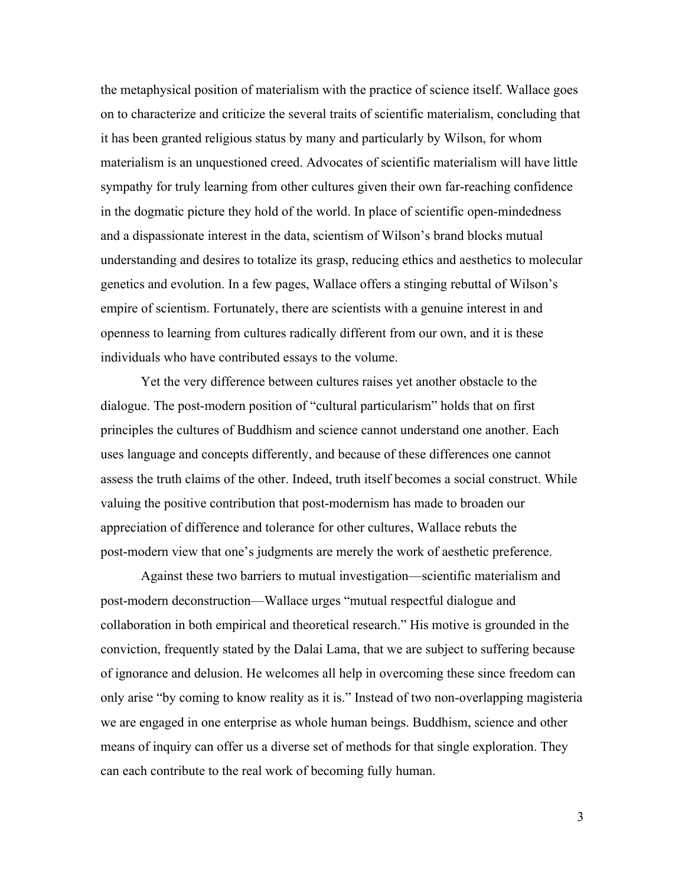the metaphysical position of materialism with the practice of science itself. Wallace goes on to characterize and criticize the several traits of scientific materialism, concluding that it has been granted religious status by many and particularly by Wilson, for whom materialism is an unquestioned creed. Advocates of scientific materialism will have little sympathy for truly learning from other cultures given their own far-reaching confidence in the dogmatic picture they hold of the world. In place of scientific open-mindedness and a dispassionate interest in the data, scientism of Wilson's brand blocks mutual understanding and desires to totalize its grasp, reducing ethics and aesthetics to molecular genetics and evolution. In a few pages, Wallace offers a stinging rebuttal of Wilson's empire of scientism. Fortunately, there are scientists with a genuine interest in and openness to learning from cultures radically different from our own, and it is these individuals who have contributed essays to the volume.

Yet the very difference between cultures raises yet another obstacle to the dialogue. The post-modern position of "cultural particularism" holds that on first principles the cultures of Buddhism and science cannot understand one another. Each uses language and concepts differently, and because of these differences one cannot assess the truth claims of the other. Indeed, truth itself becomes a social construct. While valuing the positive contribution that post-modernism has made to broaden our appreciation of difference and tolerance for other cultures, Wallace rebuts the post-modern view that one's judgments are merely the work of aesthetic preference.

Against these two barriers to mutual investigation—scientific materialism and post-modern deconstruction—Wallace urges "mutual respectful dialogue and collaboration in both empirical and theoretical research." His motive is grounded in the conviction, frequently stated by the Dalai Lama, that we are subject to suffering because of ignorance and delusion. He welcomes all help in overcoming these since freedom can only arise "by coming to know reality as it is." Instead of two non-overlapping magisteria we are engaged in one enterprise as whole human beings. Buddhism, science and other means of inquiry can offer us a diverse set of methods for that single exploration. They can each contribute to the real work of becoming fully human.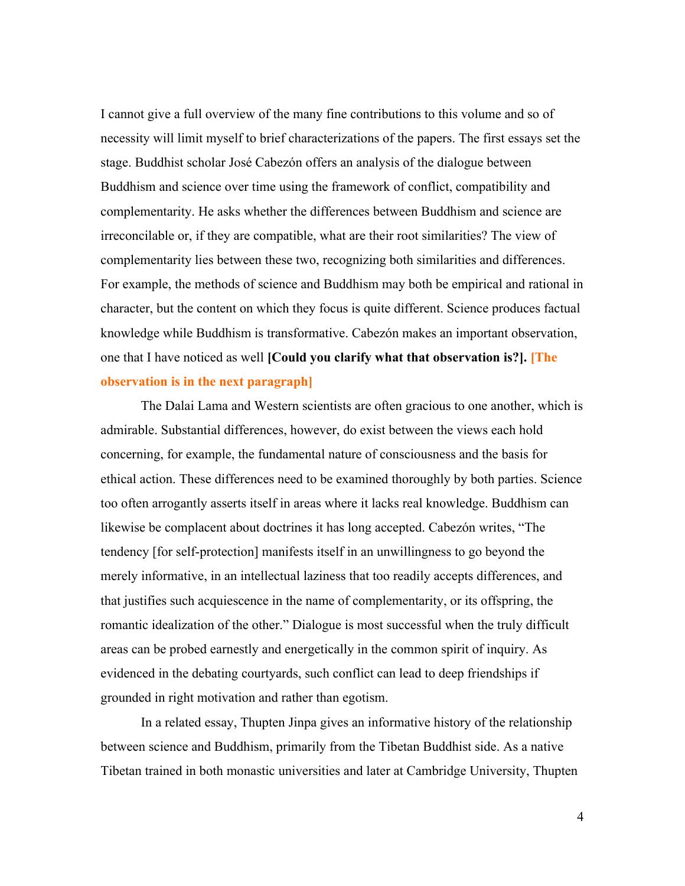I cannot give a full overview of the many fine contributions to this volume and so of necessity will limit myself to brief characterizations of the papers. The first essays set the stage. Buddhist scholar José Cabezón offers an analysis of the dialogue between Buddhism and science over time using the framework of conflict, compatibility and complementarity. He asks whether the differences between Buddhism and science are irreconcilable or, if they are compatible, what are their root similarities? The view of complementarity lies between these two, recognizing both similarities and differences. For example, the methods of science and Buddhism may both be empirical and rational in character, but the content on which they focus is quite different. Science produces factual knowledge while Buddhism is transformative. Cabezón makes an important observation, one that I have noticed as well **[Could you clarify what that observation is?]. [The observation is in the next paragraph]**

The Dalai Lama and Western scientists are often gracious to one another, which is admirable. Substantial differences, however, do exist between the views each hold concerning, for example, the fundamental nature of consciousness and the basis for ethical action. These differences need to be examined thoroughly by both parties. Science too often arrogantly asserts itself in areas where it lacks real knowledge. Buddhism can likewise be complacent about doctrines it has long accepted. Cabezón writes, "The tendency [for self-protection] manifests itself in an unwillingness to go beyond the merely informative, in an intellectual laziness that too readily accepts differences, and that justifies such acquiescence in the name of complementarity, or its offspring, the romantic idealization of the other." Dialogue is most successful when the truly difficult areas can be probed earnestly and energetically in the common spirit of inquiry. As evidenced in the debating courtyards, such conflict can lead to deep friendships if grounded in right motivation and rather than egotism.

In a related essay, Thupten Jinpa gives an informative history of the relationship between science and Buddhism, primarily from the Tibetan Buddhist side. As a native Tibetan trained in both monastic universities and later at Cambridge University, Thupten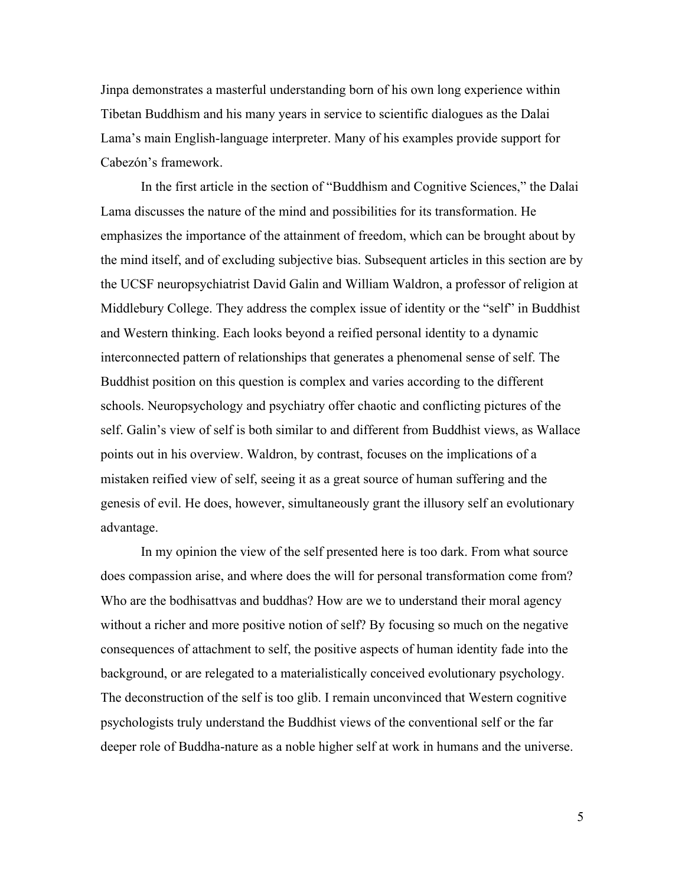Jinpa demonstrates a masterful understanding born of his own long experience within Tibetan Buddhism and his many years in service to scientific dialogues as the Dalai Lama's main English-language interpreter. Many of his examples provide support for Cabezón's framework.

In the first article in the section of "Buddhism and Cognitive Sciences," the Dalai Lama discusses the nature of the mind and possibilities for its transformation. He emphasizes the importance of the attainment of freedom, which can be brought about by the mind itself, and of excluding subjective bias. Subsequent articles in this section are by the UCSF neuropsychiatrist David Galin and William Waldron, a professor of religion at Middlebury College. They address the complex issue of identity or the "self" in Buddhist and Western thinking. Each looks beyond a reified personal identity to a dynamic interconnected pattern of relationships that generates a phenomenal sense of self. The Buddhist position on this question is complex and varies according to the different schools. Neuropsychology and psychiatry offer chaotic and conflicting pictures of the self. Galin's view of self is both similar to and different from Buddhist views, as Wallace points out in his overview. Waldron, by contrast, focuses on the implications of a mistaken reified view of self, seeing it as a great source of human suffering and the genesis of evil. He does, however, simultaneously grant the illusory self an evolutionary advantage.

In my opinion the view of the self presented here is too dark. From what source does compassion arise, and where does the will for personal transformation come from? Who are the bodhisattvas and buddhas? How are we to understand their moral agency without a richer and more positive notion of self? By focusing so much on the negative consequences of attachment to self, the positive aspects of human identity fade into the background, or are relegated to a materialistically conceived evolutionary psychology. The deconstruction of the self is too glib. I remain unconvinced that Western cognitive psychologists truly understand the Buddhist views of the conventional self or the far deeper role of Buddha-nature as a noble higher self at work in humans and the universe.

5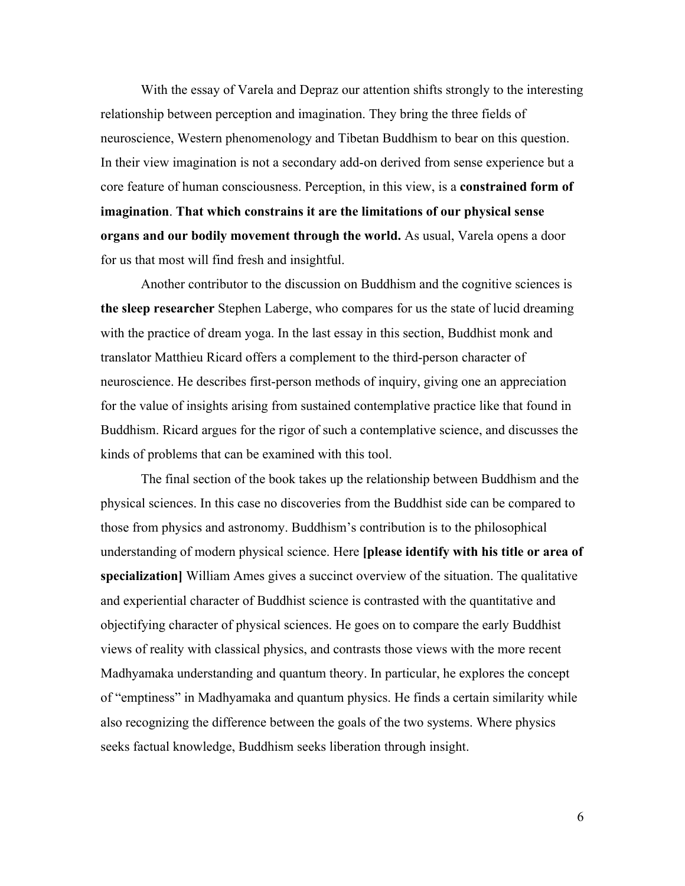With the essay of Varela and Depraz our attention shifts strongly to the interesting relationship between perception and imagination. They bring the three fields of neuroscience, Western phenomenology and Tibetan Buddhism to bear on this question. In their view imagination is not a secondary add-on derived from sense experience but a core feature of human consciousness. Perception, in this view, is a **constrained form of imagination**. **That which constrains it are the limitations of our physical sense organs and our bodily movement through the world.** As usual, Varela opens a door for us that most will find fresh and insightful.

Another contributor to the discussion on Buddhism and the cognitive sciences is **the sleep researcher** Stephen Laberge, who compares for us the state of lucid dreaming with the practice of dream yoga. In the last essay in this section, Buddhist monk and translator Matthieu Ricard offers a complement to the third-person character of neuroscience. He describes first-person methods of inquiry, giving one an appreciation for the value of insights arising from sustained contemplative practice like that found in Buddhism. Ricard argues for the rigor of such a contemplative science, and discusses the kinds of problems that can be examined with this tool.

The final section of the book takes up the relationship between Buddhism and the physical sciences. In this case no discoveries from the Buddhist side can be compared to those from physics and astronomy. Buddhism's contribution is to the philosophical understanding of modern physical science. Here **[please identify with his title or area of specialization]**William Ames gives a succinct overview of the situation. The qualitative and experiential character of Buddhist science is contrasted with the quantitative and objectifying character of physical sciences. He goes on to compare the early Buddhist views of reality with classical physics, and contrasts those views with the more recent Madhyamaka understanding and quantum theory. In particular, he explores the concept of "emptiness" in Madhyamaka and quantum physics. He finds a certain similarity while also recognizing the difference between the goals of the two systems. Where physics seeks factual knowledge, Buddhism seeks liberation through insight.

6